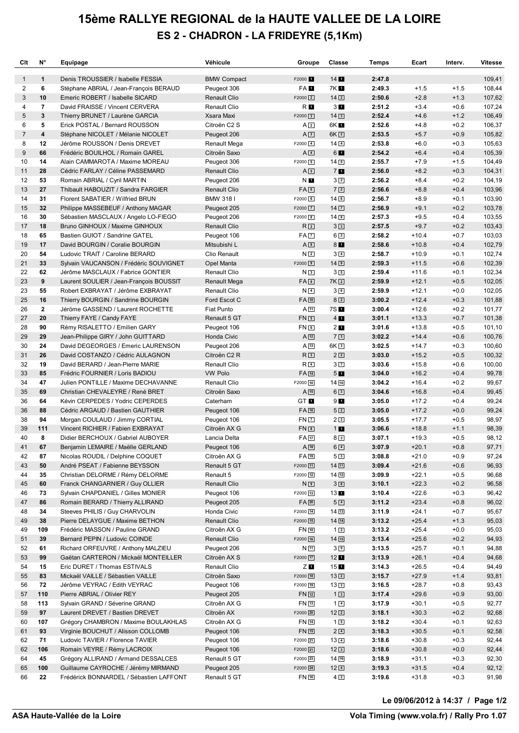## **15ème RALLYE REGIONAL de la HAUTE VALLEE DE LA LOIRE ES 2 - CHADRON - LA FRIDEYRE (5,1Km)**

| Clt          | N°             | Equipage                                                                    | Véhicule                   | Groupe                       | Classe              | Temps            | Ecart              | Interv.          | <b>Vitesse</b>   |
|--------------|----------------|-----------------------------------------------------------------------------|----------------------------|------------------------------|---------------------|------------------|--------------------|------------------|------------------|
| $\mathbf{1}$ | $\mathbf{1}$   | Denis TROUSSIER / Isabelle FESSIA                                           | <b>BMW Compact</b>         | F2000 1                      | $14$ $\blacksquare$ | 2:47.8           |                    |                  | 109,41           |
| 2            | 6              | Stéphane ABRIAL / Jean-François BERAUD                                      | Peugeot 306                | FA 1                         | 7K I                | 2:49.3           | $+1.5$             | $+1.5$           | 108,44           |
| 3            | 10             | Emeric ROBERT / Isabelle SICARD                                             | <b>Renault Clio</b>        | $F2000$ <sup>2</sup>         | $14\sqrt{2}$        | 2:50.6           | $+2.8$             | $+1.3$           | 107,62           |
| 4            | $\overline{7}$ | David FRAISSE / Vincent CERVERA                                             | Renault Clio               | R <b>I</b>                   | 3L                  | 2:51.2           | $+3.4$             | $+0.6$           | 107,24           |
| 5            | $\mathbf{3}$   | Thierry BRUNET / Laurène GARCIA                                             | Xsara Maxi                 | $F2000$ 3                    | 143                 | 2:52.4           | $+4.6$             | $+1.2$           | 106,49           |
| 6            | 5              | Erick POSTAL / Bernard ROUSSON                                              | Citroën C2 S               | A2                           | 6K <b>11</b>        | 2:52.6           | $+4.8$             | $+0.2$           | 106,37           |
| 7            | 4              | Stéphane NICOLET / Mélanie NICOLET                                          | Peugeot 206                | A <sub>3</sub>               | $6K$ 2              | 2:53.5           | $+5.7$             | $+0.9$           | 105,82           |
| 8            | 12             | Jérôme ROUSSON / Denis DREVET                                               | <b>Renault Mega</b>        | $F2000$ $4$                  | $14\sqrt{4}$        | 2:53.8           | $+6.0$             | $+0.3$           | 105,63           |
| 9            | 66             | Frédéric BOUILHOL / Romain GAREL                                            | Citroën Saxo               | A <sub>4</sub>               | 6 <b>L</b>          | 2:54.2           | $+6.4$             | $+0.4$           | 105,39           |
| 10           | 14             | Alain CAMMAROTA / Maxime MOREAU                                             | Peugeot 306                | $F2000$ 5                    | $14\sqrt{5}$        | 2:55.7           | $+7.9$             | $+1.5$           | 104,49           |
| 11           | 28             | Cédric FARLAY / Céline PASSEMARD                                            | Renault Clio               | $A \boxed{5}$                | 7 <sub>1</sub>      | 2:56.0           | $+8.2$             | $+0.3$           | 104,31           |
| 12           | 53             | Romain ABRIAL / Cyril MARTIN                                                | Peugeot 206                | N <b>E</b>                   | $3\sqrt{2}$         | 2:56.2           | $+8.4$             | $+0.2$           | 104,19           |
| 13           | 27             | Thibault HABOUZIT / Sandra FARGIER                                          | <b>Renault Clio</b>        | FAG                          | 72                  | 2:56.6           | $+8.8$             | $+0.4$           | 103,96           |
| 14           | 31             | Florent SABATIER / Wilfried BRUN                                            | <b>BMW 3181</b>            | F2000 <sup>6</sup>           | 14 <sub>6</sub>     | 2:56.7           | $+8.9$             | $+0.1$           | 103,90           |
| 15           | 32             | Philippe MASSEBEUF / Anthony MAGAR                                          | Peugeot 205                | $F2000$ $7$                  | $14$ $\overline{7}$ | 2:56.9           | $+9.1$             | $+0.2$           | 103,78           |
| 16           | 30             | Sébastien MASCLAUX / Angelo LO-FIEGO                                        | Peugeot 206                | $F2000$ 8                    | $14\sqrt{8}$        | 2:57.3           | $+9.5$             | $+0.4$           | 103,55           |
| 17           | 18             | Bruno GINHOUX / Maxime GINHOUX                                              | <b>Renault Clio</b>        | R <sub>2</sub>               | 3 <sup>3</sup>      | 2:57.5           | $+9.7$             | $+0.2$           | 103,43           |
| 18           | 65             | Bastien GUIOT / Sandrine GATEL                                              | Peugeot 106                | FA <b>D</b>                  | $6\sqrt{2}$         | 2:58.2           | $+10.4$            | $+0.7$           | 103,03           |
| 19           | 17             | David BOURGIN / Coralie BOURGIN                                             | Mitsubishi L               | $A$ $8$                      | 8                   | 2:58.6           | $+10.8$            | $+0.4$           | 102,79           |
| 20           | 54<br>33       | Ludovic TRAIT / Caroline BERARD                                             | Clio Renault               | N <sub>2</sub>               | $3\vert 4$          | 2:58.7           | $+10.9$            | $+0.1$           | 102,74           |
| 21<br>22     | 62             | Sylvain VAUCANSON / Frédéric SOUVIGNET<br>Jérôme MASCLAUX / Fabrice GONTIER | Opel Manta<br>Renault Clio | $F2000$ 9                    | 149                 | 2:59.3           | $+11.5$<br>$+11.6$ | $+0.6$<br>$+0.1$ | 102,39           |
| 23           | 9              |                                                                             |                            | N <sub>3</sub>               | 3 <sub>5</sub>      | 2:59.4<br>2:59.9 | $+12.1$            | $+0.5$           | 102,34           |
|              | 55             | Laurent SOULIER / Jean-François BOUSSIT                                     | <b>Renault Mega</b>        | $FA$ <sup>9</sup>            | 7K 2                |                  |                    |                  | 102,05           |
| 23<br>25     | 16             | Robert EXBRAYAT / Jérôme EXBRAYAT                                           | Renault Clio               | N <sub>4</sub>               | 3 <sub>6</sub>      | 2:59.9<br>3:00.2 | $+12.1$<br>$+12.4$ | $+0.0$<br>$+0.3$ | 102,05           |
| 26           | $\mathbf{2}$   | Thierry BOURGIN / Sandrine BOURGIN                                          | Ford Escot C<br>Fiat Punto | FA <sub>10</sub><br>$A$ $11$ | $8\sqrt{2}$<br>7S 1 | 3:00.4           | $+12.6$            | $+0.2$           | 101,88<br>101,77 |
| 27           | 20             | Jéröme GASSEND / Laurent ROCHETTE<br>Thierry FAYE / Candy FAYE              | Renault 5 GT               | $FN$ $5$                     | $4$ $\blacksquare$  | 3:01.1           | $+13.3$            | $+0.7$           | 101,38           |
| 28           | 90             |                                                                             |                            | $FN$ $6$                     | $2$ $\blacksquare$  | 3:01.6           | $+13.8$            | $+0.5$           | 101,10           |
| 29           | 29             | Rémy RISALETTO / Emilien GARY<br>Jean-Philippe GIRY / John GUITTARD         | Peugeot 106<br>Honda Civic | A <sub>12</sub>              | 73                  | 3:02.2           | $+14.4$            | $+0.6$           | 100,76           |
| 30           | 24             | David DEGEORGES / Emeric LAURENSON                                          | Peugeot 206                | A <sub>13</sub>              | 6K3                 | 3:02.5           | $+14.7$            | $+0.3$           | 100,60           |
| 31           | 26             | David COSTANZO / Cédric AULAGNON                                            | Citroën C <sub>2</sub> R   | R <sub>3</sub>               | $2\sqrt{2}$         | 3:03.0           | $+15.2$            | $+0.5$           | 100,32           |
| 32           | 19             | David BERARD / Jean-Pierre MARIE                                            | Renault Clio               | R <sub>4</sub>               | $3\overline{7}$     | 3:03.6           | $+15.8$            | $+0.6$           | 100,00           |
| 33           | 85             | Frédric FOURNIER / Loris BADIOU                                             | <b>VW Polo</b>             | FA 14                        | 5 <sub>II</sub>     | 3:04.0           | $+16.2$            | $+0.4$           | 99,78            |
| 34           | 47             | Julien PONTILLE / Maxime DECHAVANNE                                         | <b>Renault Clio</b>        | F2000 10                     | 14[10]              | 3:04.2           | $+16.4$            | $+0.2$           | 99,67            |
| 35           | 69             | Christian CHEVALEYRE / René BRET                                            | Citroën Saxo               | A <sub>15</sub>              | $6\sqrt{3}$         | 3:04.6           | $+16.8$            | $+0.4$           | 99,45            |
| 36           | 64             | Kévin CERPEDES / Yodric CEPERDES                                            | Caterham                   | GT <b>M</b>                  | 9 <sub>1</sub>      | 3:05.0           | $+17.2$            | $+0.4$           | 99,24            |
| 36           | 88             | Cédric ARGAUD / Bastien GAUTHIER                                            | Peugeot 106                | $FA$ $16$                    | 52                  | 3:05.0           | $+17.2$            | $+0.0$           | 99,24            |
| 38           | 94             | Morgan COULAUD / Jimmy CORTIAL                                              | Peugeot 106                | $FN$ $2$                     | 23                  | 3:05.5           | $+17.7$            | $+0.5$           | 98,97            |
| 39           | 111            | Vincent RICHIER / Fabien EXBRAYAT                                           | Citroën AX G               | $FN$ $\Box$                  | 1 <sub>1</sub>      | 3:06.6           | $+18.8$            | $+1.1$           | 98,39            |
| 40           | 8              | Didier BERCHOUX / Gabriel AUBOYER                                           | Lancia Delta               | FA 17                        | 8 <sup>3</sup>      | 3:07.1           | $+19.3$            | $+0.5$           | 98,12            |
| 41           | 67             | Benjamin LEMAIRE / Maëlle GERLAND                                           | Peugeot 106                | $A \underline{18}$           | $6 \vert 4 \vert$   | 3:07.9           | $+20.1$            | $+0.8$           | 97,71            |
| 42           | 87             | Nicolas ROUDIL / Delphine COQUET                                            | Citroën AX G               | $FA$ 19                      | 53                  | 3:08.8           | $+21.0$            | $+0.9$           | 97,24            |
| 43           | 50             | André PSEAT / Fabienne BEYSSON                                              | Renault 5 GT               | F2000 11                     | 14[11]              | 3:09.4           | $+21.6$            | $+0.6$           | 96,93            |
| 44           | 35             | Christian DELORME / Rémy DELORME                                            | Renault 5                  | F2000 12                     | 14[12]              | 3:09.9           | $+22.1$            | $+0.5$           | 96,68            |
| 45           | 60             | Franck CHANGARNIER / Guy OLLIER                                             | Renault Clio               | N <sub>9</sub>               | 3 <sup>8</sup>      | 3:10.1           | $+22.3$            | $+0.2$           | 96,58            |
| 46           | 73             | Sylvain CHAPDANIEL / Gilles MONIER                                          | Peugeot 106                | F2000 13                     | 13                  | 3:10.4           | $+22.6$            | $+0.3$           | 96,42            |
| 47           | 86             | Romain BERARD / Thierry ALLIRAND                                            | Peugeot 205                | FA20                         | $5\sqrt{4}$         | 3:11.2           | $+23.4$            | $+0.8$           | 96,02            |
| 48           | 34             | Steeves PHILIS / Guy CHARVOLIN                                              | Honda Civic                | F2000 14                     | $14\sqrt{13}$       | 3:11.9           | $+24.1$            | $+0.7$           | 95,67            |
| 49           | 38             | Pierre DELAYGUE / Maxime BETHON                                             | Renault Clio               | F2000 15                     | $14\sqrt{14}$       | 3:13.2           | $+25.4$            | $+1.3$           | 95,03            |
| 49           | 109            | Frédéric MASSON / Pauline GRAND                                             | Citroên AX G               | FN 10                        | $1\vert 2\rangle$   | 3:13.2           | $+25.4$            | $+0.0$           | 95,03            |
| 51           | 39             | Bernard PEPIN / Ludovic COINDE                                              | <b>Renault Clio</b>        | F2000 16                     | 14[15]              | 3:13.4           | $+25.6$            | $+0.2$           | 94,93            |
| 52           | 61             | Richard ORFEUVRE / Anthony MALZIEU                                          | Peugeot 206                | N <sub>11</sub>              | 39                  | 3:13.5           | $+25.7$            | $+0.1$           | 94,88            |
| 53           | 99             | Gaëtan CARTERON / Mickaël MONTEILLER                                        | Citroën AX S               | F2000 17                     | $12$ $\blacksquare$ | 3:13.9           | $+26.1$            | $+0.4$           | 94,68            |
| 54           | 15             | Eric DURET / Thomas ESTIVALS                                                | Renault Clio               | ZП                           | $15$ $\blacksquare$ | 3:14.3           | $+26.5$            | $+0.4$           | 94,49            |
| 55           | 83             | Mickaël VAILLE / Sébastien VAILLE                                           | Citroën Saxo               | F2000 18                     | $13\sqrt{2}$        | 3:15.7           | $+27.9$            | $+1.4$           | 93,81            |
| 56           | 72             | Jérôme VEYRAC / Edith VEYRAC                                                | Peugeot 106                | F2000 19                     | $13\sqrt{3}$        | 3:16.5           | $+28.7$            | $+0.8$           | 93,43            |
| 57           | 110            | Pierre ABRIAL / Olivier REY                                                 | Peugeot 205                | FN 12                        | 1 <sup>3</sup>      | 3:17.4           | $+29.6$            | $+0.9$           | 93,00            |
| 58           | 113            | Sylvain GRAND / Séverine GRAND                                              | Citroên AX G               | FN 13                        | $1\vert 4$          | 3:17.9           | $+30.1$            | $+0.5$           | 92,77            |
| 59           | 97             | Laurent DREVET / Bastien DREVET                                             | Citroën AX                 | F2000 20                     | 122                 | 3:18.1           | $+30.3$            | $+0.2$           | 92,68            |
| 60           | 107            | Grégory CHAMBRON / Maxime BOULAKHLAS                                        | Citroên AX G               | FN 14                        | $1\sqrt{5}$         | 3:18.2           | $+30.4$            | $+0.1$           | 92,63            |
| 61           | 93             | Virginie BOUCHUT / Alisson COLLOMB                                          | Peugeot 106                | FN 15                        | $2\sqrt{4}$         | 3:18.3           | $+30.5$            | $+0.1$           | 92,58            |
| 62           | 71             | Ludovic TAVIER / Florence TAVIER                                            | Peugeot 106                | F2000 21                     | $13\sqrt{4}$        | 3:18.6           | $+30.8$            | $+0.3$           | 92,44            |
| 62           | 106            | Romain VEYRE / Rémy LACROIX                                                 | Peugeot 106                | F2000 21                     | 123                 | 3:18.6           | $+30.8$            | $+0.0$           | 92,44            |
| 64           | 45             | Grégory ALLIRAND / Armand DESSALCES                                         | Renault 5 GT               | F2000 23                     | $14 \overline{16}$  | 3:18.9           | $+31.1$            | $+0.3$           | 92,30            |
| 65           | 100            | Guillaume CAYROCHE / Jérémy MIRMAND                                         | Peugeot 205                | F2000 24                     | $12\sqrt{4}$        | 3:19.3           | $+31.5$            | $+0.4$           | 92,12            |
| 66           | 22             | Frédérick BONNARDEL / Sébastien LAFFONT                                     | Renault 5 GT               | FN 16                        | $4\sqrt{2}$         | 3:19.6           | $+31.8$            | $+0.3$           | 91,98            |

<u>Volanda variante de la provincia de la pro</u> **Le 09/06/2012 à 14:37 / Page 1/2**